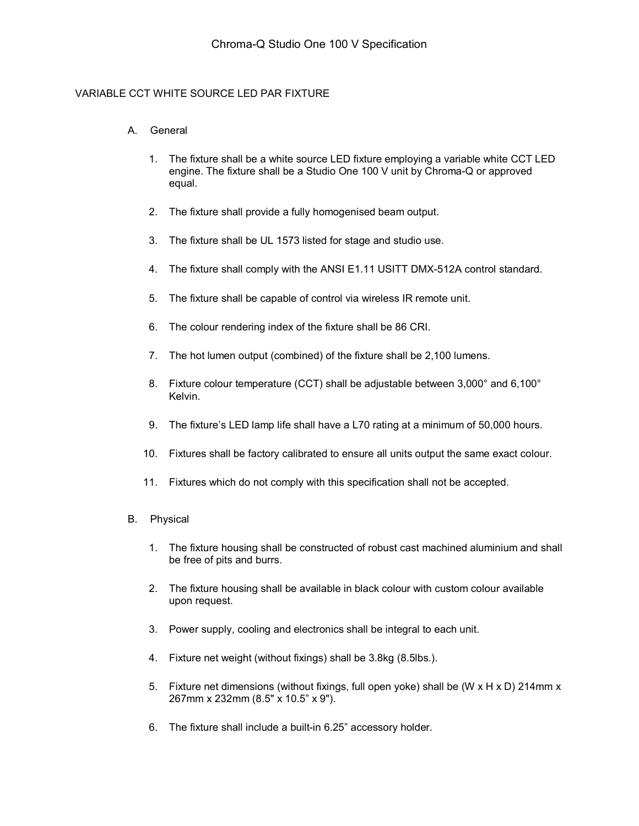## VARIABLE CCT WHITE SOURCE LED PAR FIXTURE

## A. General

- 1. The fixture shall be a white source LED fixture employing a variable white CCT LED engine. The fixture shall be a Studio One 100 V unit by Chroma-Q or approved equal.
- 2. The fixture shall provide a fully homogenised beam output.
- 3. The fixture shall be UL 1573 listed for stage and studio use.
- 4. The fixture shall comply with the ANSI E1.11 USITT DMX-512A control standard.
- 5. The fixture shall be capable of control via wireless IR remote unit.
- 6. The colour rendering index of the fixture shall be 86 CRI.
- 7. The hot lumen output (combined) of the fixture shall be 2,100 lumens.
- 8. Fixture colour temperature (CCT) shall be adjustable between 3,000° and 6,100° Kelvin.
- 9. The fixture's LED lamp life shall have a L70 rating at a minimum of 50,000 hours.
- 10. Fixtures shall be factory calibrated to ensure all units output the same exact colour.
- 11. Fixtures which do not comply with this specification shall not be accepted.
- B. Physical
	- 1. The fixture housing shall be constructed of robust cast machined aluminium and shall be free of pits and burrs.
	- 2. The fixture housing shall be available in black colour with custom colour available upon request.
	- 3. Power supply, cooling and electronics shall be integral to each unit.
	- 4. Fixture net weight (without fixings) shall be 3.8kg (8.5lbs.).
	- 5. Fixture net dimensions (without fixings, full open yoke) shall be (W x H x D) 214mm x 267mm x 232mm (8.5" x 10.5" x 9").
	- 6. The fixture shall include a built-in 6.25" accessory holder.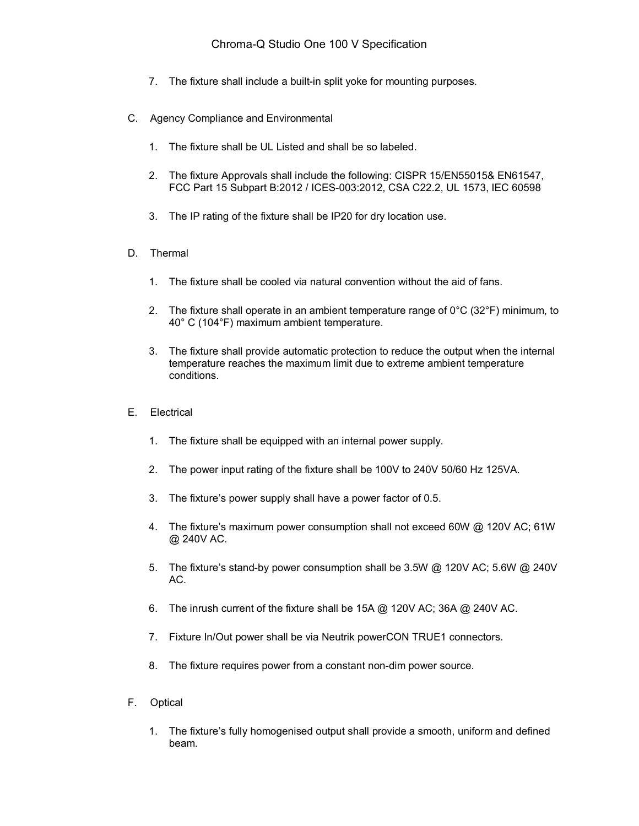- 7. The fixture shall include a built-in split yoke for mounting purposes.
- C. Agency Compliance and Environmental
	- 1. The fixture shall be UL Listed and shall be so labeled.
	- 2. The fixture Approvals shall include the following: CISPR 15/EN55015& EN61547, FCC Part 15 Subpart B:2012 / ICES-003:2012, CSA C22.2, UL 1573, IEC 60598
	- 3. The IP rating of the fixture shall be IP20 for dry location use.
- D. Thermal
	- 1. The fixture shall be cooled via natural convention without the aid of fans.
	- 2. The fixture shall operate in an ambient temperature range of  $0^{\circ}C$  (32°F) minimum, to 40° C (104°F) maximum ambient temperature.
	- 3. The fixture shall provide automatic protection to reduce the output when the internal temperature reaches the maximum limit due to extreme ambient temperature conditions.
- E. Electrical
	- 1. The fixture shall be equipped with an internal power supply.
	- 2. The power input rating of the fixture shall be 100V to 240V 50/60 Hz 125VA.
	- 3. The fixture's power supply shall have a power factor of 0.5.
	- 4. The fixture's maximum power consumption shall not exceed 60W @ 120V AC; 61W @ 240V AC.
	- 5. The fixture's stand-by power consumption shall be 3.5W @ 120V AC; 5.6W @ 240V AC.
	- 6. The inrush current of the fixture shall be 15A @ 120V AC; 36A @ 240V AC.
	- 7. Fixture In/Out power shall be via Neutrik powerCON TRUE1 connectors.
	- 8. The fixture requires power from a constant non-dim power source.
- F. Optical
	- 1. The fixture's fully homogenised output shall provide a smooth, uniform and defined beam.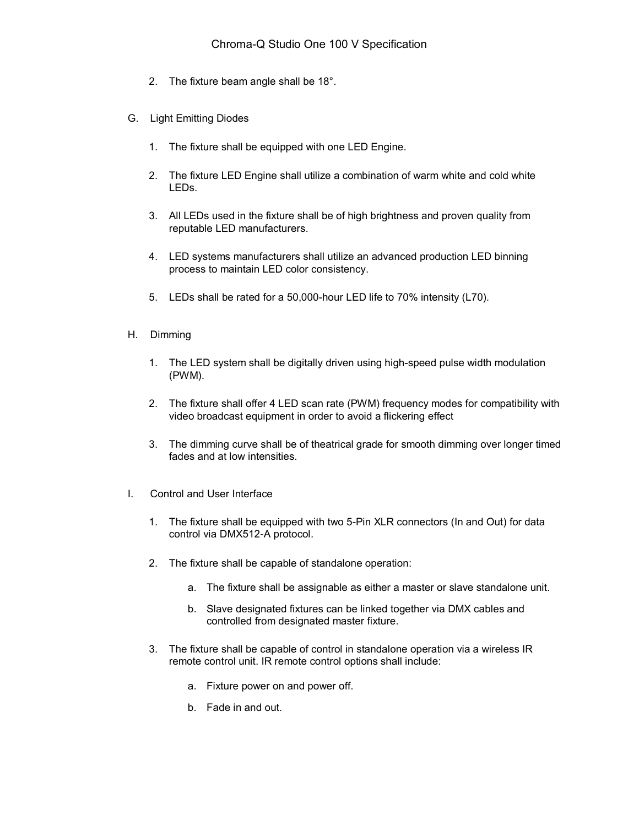- 2. The fixture beam angle shall be 18°.
- G. Light Emitting Diodes
	- 1. The fixture shall be equipped with one LED Engine.
	- 2. The fixture LED Engine shall utilize a combination of warm white and cold white LEDs.
	- 3. All LEDs used in the fixture shall be of high brightness and proven quality from reputable LED manufacturers.
	- 4. LED systems manufacturers shall utilize an advanced production LED binning process to maintain LED color consistency.
	- 5. LEDs shall be rated for a 50,000-hour LED life to 70% intensity (L70).
- H. Dimming
	- 1. The LED system shall be digitally driven using high-speed pulse width modulation (PWM).
	- 2. The fixture shall offer 4 LED scan rate (PWM) frequency modes for compatibility with video broadcast equipment in order to avoid a flickering effect
	- 3. The dimming curve shall be of theatrical grade for smooth dimming over longer timed fades and at low intensities.
- I. Control and User Interface
	- 1. The fixture shall be equipped with two 5-Pin XLR connectors (In and Out) for data control via DMX512-A protocol.
	- 2. The fixture shall be capable of standalone operation:
		- a. The fixture shall be assignable as either a master or slave standalone unit.
		- b. Slave designated fixtures can be linked together via DMX cables and controlled from designated master fixture.
	- 3. The fixture shall be capable of control in standalone operation via a wireless IR remote control unit. IR remote control options shall include:
		- a. Fixture power on and power off.
		- b. Fade in and out.